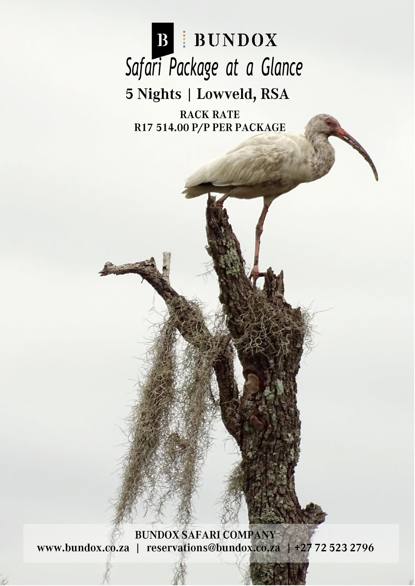

**RACK RATE** R17 514.00 P/P PER PACKAGE

**BUNDOX SAFARI COMPANY** www.bundox.co.za | reservations@bundox.co.za | +27 72 523 2796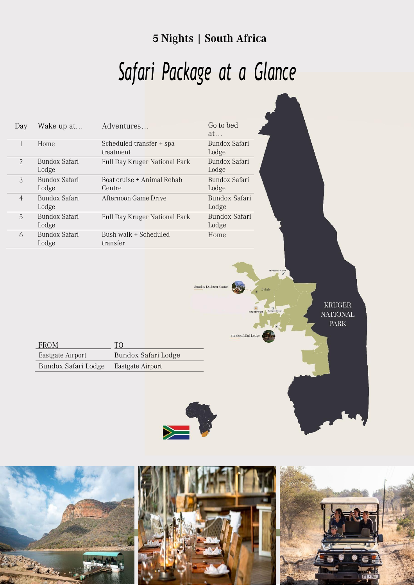#### 5 Nights | South Africa

# *Safari Package at a Glance*

 $\label{eq:1} \underline{\text{Bundox}}\ \underline{\text{Explorer}}\ \underline{\text{Camp}}$ 

Bundox Safa<mark>ri</mark> Lod

| Day | Wake up at             | Adventures                            | Go to bed<br>at        |
|-----|------------------------|---------------------------------------|------------------------|
|     | Home                   | Scheduled transfer + spa<br>treatment | Bundox Safari<br>Lodge |
| 2   | Bundox Safari<br>Lodge | Full Day Kruger National Park         | Bundox Safari<br>Lodge |
| 3   | Bundox Safari<br>Lodge | Boat cruise + Animal Rehab<br>Centre  | Bundox Safari<br>Lodge |
| 4   | Bundox Safari<br>Lodge | Afternoon Game Drive                  | Bundox Safari<br>Lodge |
| 5   | Bundox Safari<br>Lodge | Full Day Kruger National Park         | Bundox Safari<br>Lodge |
| 6   | Bundox Safari<br>Lodge | Bush walk + Scheduled<br>transfer     | Home                   |

KRUGER **NATIONAL PARK** 

| <b>FROM</b>         | TO                  |
|---------------------|---------------------|
| Eastgate Airport    | Bundox Safari Lodge |
| Bundox Safari Lodge | Eastgate Airport    |